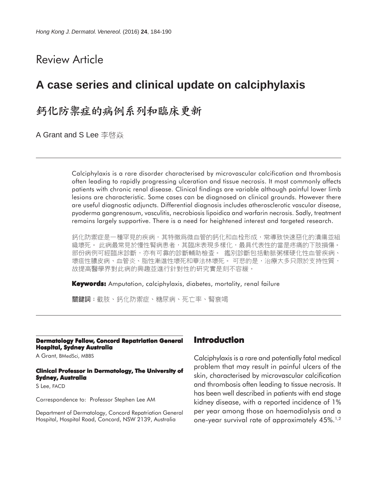# Review Article

# **A case series and clinical update on calciphylaxis**

鈣化防禦症的病例系列和臨床更新

A Grant and S Lee 李啓焱

Calciphylaxis is a rare disorder characterised by microvascular calcification and thrombosis often leading to rapidly progressing ulceration and tissue necrosis. It most commonly affects patients with chronic renal disease. Clinical findings are variable although painful lower limb lesions are characteristic. Some cases can be diagnosed on clinical grounds. However there are useful diagnostic adjuncts. Differential diagnosis includes atherosclerotic vascular disease, pyoderma gangrenosum, vasculitis, necrobiosis lipoidica and warfarin necrosis. Sadly, treatment remains largely supportive. There is a need for heightened interest and targeted research.

鈣化防禦症是一種罕見的疾病,其特徵爲微血管的鈣化和血栓形成,常導致快速惡化的潰瘍並組 織壞死。 此病最常見於慢性腎病患者,其臨床表現多樣化,最具代表性的當是疼痛的下肢損傷。 部份病例可經臨床診斷,亦有可靠的診斷輔助檢查。 鑑別診斷包括動脈粥樣硬化性血管疾病、 壞疽性膿皮病、血管炎、脂性漸進性壞死和華法林壞死。 可悲的是,治療大多只限於支持性質, 故提高醫學界對此病的興趣並進行針對性的研究實是刻不容緩。

**Keywords:** Amputation, calciphylaxis, diabetes, mortality, renal failure

關鍵詞:截肢、鈣化防禦症、糖尿病、死亡率、腎衰竭

#### **Dermatology Fellow, Concord Repatriation General Hospital, Sydney Australia**

A Grant, BMedSci, MBBS

#### **Clinical Professor in Dermatology, The University of Sydney, Australia**

S Lee, FACD

Correspondence to: Professor Stephen Lee AM

Department of Dermatology, Concord Repatriation General Hospital, Hospital Road, Concord, NSW 2139, Australia

### **Introduction**

Calciphylaxis is a rare and potentially fatal medical problem that may result in painful ulcers of the skin, characterised by microvascular calcification and thrombosis often leading to tissue necrosis. It has been well described in patients with end stage kidney disease, with a reported incidence of 1% per year among those on haemodialysis and a one-year survival rate of approximately 45%.1,2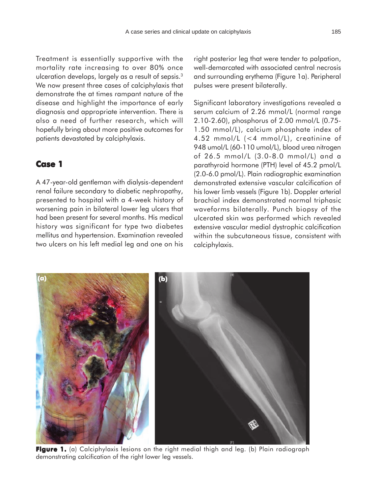Treatment is essentially supportive with the mortality rate increasing to over 80% once ulceration develops, largely as a result of sepsis.<sup>3</sup> We now present three cases of calciphylaxis that demonstrate the at times rampant nature of the disease and highlight the importance of early diagnosis and appropriate intervention. There is also a need of further research, which will hopefully bring about more positive outcomes for patients devastated by calciphylaxis.

# **Case 1**

A 47-year-old gentleman with dialysis-dependent renal failure secondary to diabetic nephropathy, presented to hospital with a 4-week history of worsening pain in bilateral lower leg ulcers that had been present for several months. His medical history was significant for type two diabetes mellitus and hypertension. Examination revealed two ulcers on his left medial leg and one on his right posterior leg that were tender to palpation, well-demarcated with associated central necrosis and surrounding erythema (Figure 1a). Peripheral pulses were present bilaterally.

Significant laboratory investigations revealed a serum calcium of 2.26 mmol/L (normal range 2.10-2.60), phosphorus of 2.00 mmol/L (0.75- 1.50 mmol/L), calcium phosphate index of 4.52 mmol/L (<4 mmol/L), creatinine of 948 umol/L (60-110 umol/L), blood urea nitrogen of 26.5 mmol/L (3.0-8.0 mmol/L) and a parathyroid hormone (PTH) level of 45.2 pmol/L (2.0-6.0 pmol/L). Plain radiographic examination demonstrated extensive vascular calcification of his lower limb vessels (Figure 1b). Doppler arterial brachial index demonstrated normal triphasic waveforms bilaterally. Punch biopsy of the ulcerated skin was performed which revealed extensive vascular medial dystrophic calcification within the subcutaneous tissue, consistent with calciphylaxis.



**Figure 1.** (a) Calciphylaxis lesions on the right medial thigh and leg. (b) Plain radiograph demonstrating calcification of the right lower leg vessels.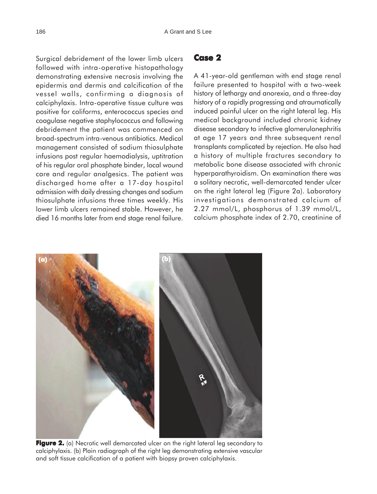Surgical debridement of the lower limb ulcers followed with intra-operative histopathology demonstrating extensive necrosis involving the epidermis and dermis and calcification of the vessel walls, confirming a diagnosis of calciphylaxis. Intra-operative tissue culture was positive for coliforms, enterococcus species and coagulase negative staphylococcus and following debridement the patient was commenced on broad-spectrum intra-venous antibiotics. Medical management consisted of sodium thiosulphate infusions post regular haemodialysis, uptitration of his regular oral phosphate binder, local wound care and regular analgesics. The patient was discharged home after a 17-day hospital admission with daily dressing changes and sodium thiosulphate infusions three times weekly. His lower limb ulcers remained stable. However, he died 16 months later from end stage renal failure.

### **Case 2**

A 41-year-old gentleman with end stage renal failure presented to hospital with a two-week history of lethargy and anorexia, and a three-day history of a rapidly progressing and atraumatically induced painful ulcer on the right lateral leg. His medical background included chronic kidney disease secondary to infective glomerulonephritis at age 17 years and three subsequent renal transplants complicated by rejection. He also had a history of multiple fractures secondary to metabolic bone disease associated with chronic hyperparathyroidism. On examination there was a solitary necrotic, well-demarcated tender ulcer on the right lateral leg (Figure 2a). Laboratory investigations demonstrated calcium of 2.27 mmol/L, phosphorus of 1.39 mmol/L, calcium phosphate index of 2.70, creatinine of



**Figure 2.** (a) Necrotic well demarcated ulcer on the right lateral leg secondary to calciphylaxis. (b) Plain radiograph of the right leg demonstrating extensive vascular and soft tissue calcification of a patient with biopsy proven calciphylaxis.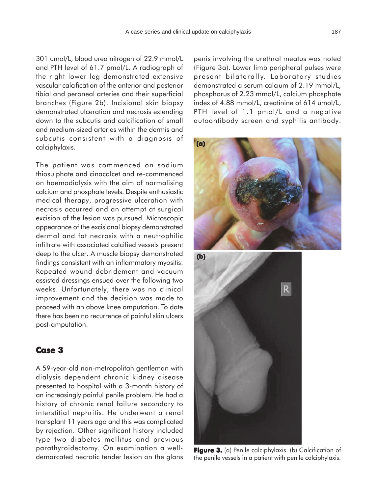301 umol/L, blood urea nitrogen of 22.9 mmol/L and PTH level of 61.7 pmol/L. A radiograph of the right lower leg demonstrated extensive vascular calcification of the anterior and posterior tibial and peroneal arteries and their superficial branches (Figure 2b). Incisional skin biopsy demonstrated ulceration and necrosis extending down to the subcutis and calcification of small and medium-sized arteries within the dermis and subcutis consistent with a diagnosis of calciphylaxis.

The patient was commenced on sodium thiosulphate and cinacalcet and re-commenced on haemodialysis with the aim of normalising calcium and phosphate levels. Despite enthusiastic medical therapy, progressive ulceration with necrosis occurred and an attempt at surgical excision of the lesion was pursued. Microscopic appearance of the excisional biopsy demonstrated dermal and fat necrosis with a neutrophilic infiltrate with associated calcified vessels present deep to the ulcer. A muscle biopsy demonstrated findings consistent with an inflammatory myositis. Repeated wound debridement and vacuum assisted dressings ensued over the following two weeks. Unfortunately, there was no clinical improvement and the decision was made to proceed with an above knee amputation. To date there has been no recurrence of painful skin ulcers post-amputation.

# **Case 3**

A 59-year-old non-metropolitan gentleman with dialysis dependent chronic kidney disease presented to hospital with a 3-month history of an increasingly painful penile problem. He had a history of chronic renal failure secondary to interstitial nephritis. He underwent a renal transplant 11 years ago and this was complicated by rejection. Other significant history included type two diabetes mellitus and previous parathyroidectomy. On examination a welldemarcated necrotic tender lesion on the glans

penis involving the urethral meatus was noted (Figure 3a). Lower limb peripheral pulses were present bilaterally. Laboratory studies demonstrated a serum calcium of 2.19 mmol/L, phosphorus of 2.23 mmol/L, calcium phosphate index of 4.88 mmol/L, creatinine of 614 umol/L, PTH level of 1.1 pmol/L and a negative autoantibody screen and syphilis antibody.



**Figure 3.** (a) Penile calciphylaxis. (b) Calcification of the penile vessels in a patient with penile calciphylaxis.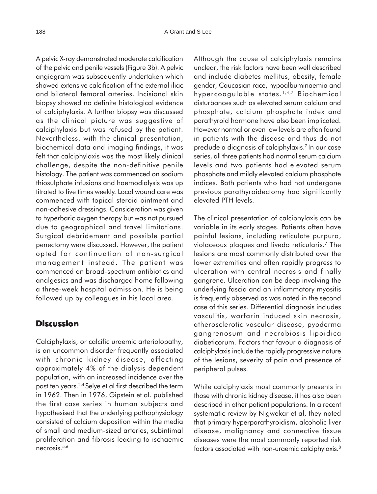A pelvic X-ray demonstrated moderate calcification of the pelvic and penile vessels (Figure 3b). A pelvic angiogram was subsequently undertaken which showed extensive calcification of the external iliac and bilateral femoral arteries. Incisional skin biopsy showed no definite histological evidence of calciphylaxis. A further biopsy was discussed as the clinical picture was suggestive of calciphylaxis but was refused by the patient. Nevertheless, with the clinical presentation, biochemical data and imaging findings, it was felt that calciphylaxis was the most likely clinical challenge, despite the non-definitive penile histology. The patient was commenced on sodium thiosulphate infusions and haemodialysis was up titrated to five times weekly. Local wound care was commenced with topical steroid ointment and non-adhesive dressings. Consideration was given to hyperbaric oxygen therapy but was not pursued due to geographical and travel limitations. Surgical debridement and possible partial penectomy were discussed. However, the patient opted for continuation of non-surgical management instead. The patient was commenced on broad-spectrum antibiotics and analgesics and was discharged home following a three-week hospital admission. He is being followed up by colleagues in his local area.

### **Discussion**

Calciphylaxis, or calcific uraemic arteriolopathy, is an uncommon disorder frequently associated with chronic kidney disease, affecting approximately 4% of the dialysis dependent population, with an increased incidence over the past ten years.2,4 Selye et al first described the term in 1962. Then in 1976, Gipstein et al. published the first case series in human subjects and hypothesised that the underlying pathophysiology consisted of calcium deposition within the media of small and medium-sized arteries, subintimal proliferation and fibrosis leading to ischaemic necrosis.5,6

Although the cause of calciphylaxis remains unclear, the risk factors have been well described and include diabetes mellitus, obesity, female gender, Caucasian race, hypoalbuminaemia and hypercoagulable states. 1,4,7 Biochemical disturbances such as elevated serum calcium and phosphate, calcium phosphate index and parathyroid hormone have also been implicated. However normal or even low levels are often found in patients with the disease and thus do not preclude a diagnosis of calciphylaxis.7 In our case series, all three patients had normal serum calcium levels and two patients had elevated serum phosphate and mildly elevated calcium phosphate indices. Both patients who had not undergone previous parathyroidectomy had significantly elevated PTH levels.

The clinical presentation of calciphylaxis can be variable in its early stages. Patients often have painful lesions, including reticulate purpura, violaceous plaques and livedo reticularis.7 The lesions are most commonly distributed over the lower extremities and often rapidly progress to ulceration with central necrosis and finally gangrene. Ulceration can be deep involving the underlying fascia and an inflammatory myositis is frequently observed as was noted in the second case of this series. Differential diagnosis includes vasculitis, warfarin induced skin necrosis, atherosclerotic vascular disease, pyoderma gangrenosum and necrobiosis lipoidica diabeticorum. Factors that favour a diagnosis of calciphylaxis include the rapidly progressive nature of the lesions, severity of pain and presence of peripheral pulses.

While calciphylaxis most commonly presents in those with chronic kidney disease, it has also been described in other patient populations. In a recent systematic review by Nigwekar et al, they noted that primary hyperparathyroidism, alcoholic liver disease, malignancy and connective tissue diseases were the most commonly reported risk factors associated with non-uraemic calciphylaxis.<sup>8</sup>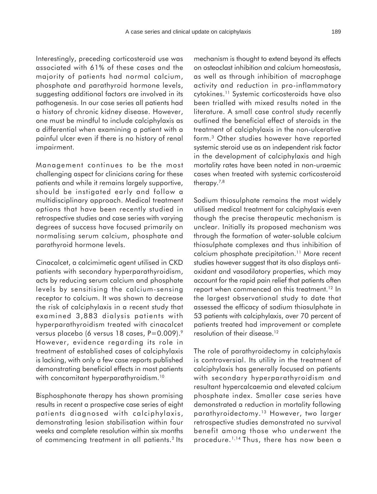Interestingly, preceding corticosteroid use was associated with 61% of these cases and the majority of patients had normal calcium, phosphate and parathyroid hormone levels, suggesting additional factors are involved in its pathogenesis. In our case series all patients had a history of chronic kidney disease. However, one must be mindful to include calciphylaxis as a differential when examining a patient with a painful ulcer even if there is no history of renal impairment.

Management continues to be the most challenging aspect for clinicians caring for these patients and while it remains largely supportive, should be instigated early and follow a multidisciplinary approach. Medical treatment options that have been recently studied in retrospective studies and case series with varying degrees of success have focused primarily on normalising serum calcium, phosphate and parathyroid hormone levels.

Cinacalcet, a calcimimetic agent utilised in CKD patients with secondary hyperparathyroidism, acts by reducing serum calcium and phosphate levels by sensitising the calcium-sensing receptor to calcium. It was shown to decrease the risk of calciphylaxis in a recent study that examined 3,883 dialysis patients with hyperparathyroidism treated with cinacalcet versus placebo (6 versus 18 cases, P=0.009).<sup>9</sup> However, evidence regarding its role in treatment of established cases of calciphylaxis is lacking, with only a few case reports published demonstrating beneficial effects in most patients with concomitant hyperparathyroidism.<sup>10</sup>

Bisphosphonate therapy has shown promising results in recent a prospective case series of eight patients diagnosed with calciphylaxis, demonstrating lesion stabilisation within four weeks and complete resolution within six months of commencing treatment in all patients.2 Its mechanism is thought to extend beyond its effects on osteoclast inhibition and calcium homeostasis, as well as through inhibition of macrophage activity and reduction in pro-inflammatory cytokines.11 Systemic corticosteroids have also been trialled with mixed results noted in the literature. A small case control study recently outlined the beneficial effect of steroids in the treatment of calciphylaxis in the non-ulcerative form.3 Other studies however have reported systemic steroid use as an independent risk factor in the development of calciphylaxis and high mortality rates have been noted in non-uraemic cases when treated with systemic corticosteroid therapy.7,8

Sodium thiosulphate remains the most widely utilised medical treatment for calciphylaxis even though the precise therapeutic mechanism is unclear. Initially its proposed mechanism was through the formation of water-soluble calcium thiosulphate complexes and thus inhibition of calcium phosphate precipitation.<sup>11</sup> More recent studies however suggest that its also displays antioxidant and vasodilatory properties, which may account for the rapid pain relief that patients often report when commenced on this treatment.<sup>12</sup> In the largest observational study to date that assessed the efficacy of sodium thiosulphate in 53 patients with calciphylaxis, over 70 percent of patients treated had improvement or complete resolution of their disease.<sup>12</sup>

The role of parathyroidectomy in calciphylaxis is controversial. Its utility in the treatment of calciphylaxis has generally focused on patients with secondary hyperparathyroidism and resultant hypercalcaemia and elevated calcium phosphate index. Smaller case series have demonstrated a reduction in mortality following parathyroidectomy.13 However, two larger retrospective studies demonstrated no survival benefit among those who underwent the procedure.<sup>1,14</sup> Thus, there has now been a